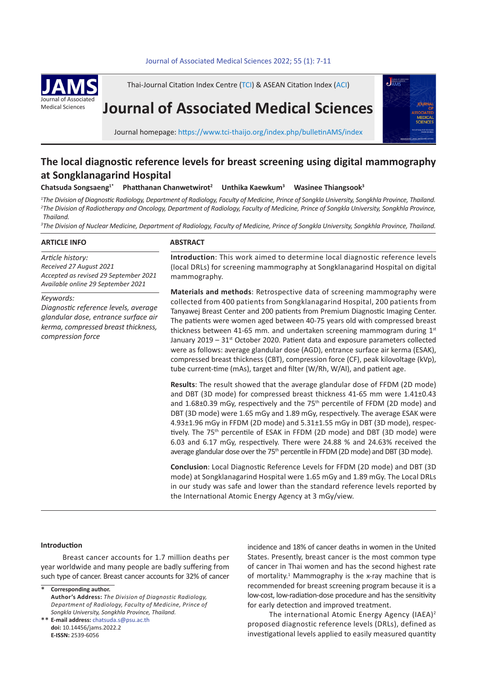## Journal of Associated Medical Sciences 2022; 55(1): 7-11



Thai-Journal Citation Index Centre (TCI) & ASEAN Citation Index (ACI)

# **Journal of Associated Medical Sciences**



Journal homepage: https://www.tci-thaijo.org/index.php/bulletinAMS/index

# **The local diagnostic reference levels for breast screening using digital mammography at Songklanagarind Hospital**

**Chatsuda Songsaeng1\* Phatthanan Chanwetwirot<sup>2</sup> Unthika Kaewkum<sup>3</sup> Wasinee Thiangsook3**

*1 The Division of Diagnostic Radiology, Department of Radiology, Faculty of Medicine, Prince of Songkla University, Songkhla Province, Thailand. 2 The Division of Radiotherapy and Oncology, Department of Radiology, Faculty of Medicine, Prince of Songkla University, Songkhla Province, Thailand.*

*3 The Division of Nuclear Medicine, Department of Radiology, Faculty of Medicine, Prince of Songkla University, Songkhla Province, Thailand.*

# **ARTICLE INFO**

#### **ABSTRACT**

*Article history: Received 27 August 2021 Accepted as revised 29 September 2021 Available online 29 September 2021*

*Keywords:*

*Diagnostic reference levels, average glandular dose, entrance surface air kerma, compressed breast thickness, compression force*

**Introduction**: This work aimed to determine local diagnostic reference levels (local DRLs) for screening mammography at Songklanagarind Hospital on digital mammography.

**Materials and methods**: Retrospective data of screening mammography were collected from 400 patients from Songklanagarind Hospital, 200 patients from Tanyawej Breast Center and 200 patients from Premium Diagnostic Imaging Center. The patients were women aged between 40-75 years old with compressed breast thickness between 41-65 mm. and undertaken screening mammogram during  $1<sup>st</sup>$ January  $2019 - 31$ <sup>st</sup> October 2020. Patient data and exposure parameters collected were as follows: average glandular dose (AGD), entrance surface air kerma (ESAK), compressed breast thickness (CBT), compression force (CF), peak kilovoltage (kVp), tube current-time (mAs), target and filter (W/Rh, W/Al), and patient age.

**Results**: The result showed that the average glandular dose of FFDM (2D mode) and DBT (3D mode) for compressed breast thickness 41-65 mm were 1.41±0.43 and 1.68±0.39 mGy, respectively and the 75<sup>th</sup> percentile of FFDM (2D mode) and DBT (3D mode) were 1.65 mGy and 1.89 mGy, respectively. The average ESAK were 4.93±1.96 mGy in FFDM (2D mode) and 5.31±1.55 mGy in DBT (3D mode), respectively. The 75<sup>th</sup> percentile of ESAK in FFDM (2D mode) and DBT (3D mode) were 6.03 and 6.17 mGy, respectively. There were 24.88 % and 24.63% received the average glandular dose over the 75<sup>th</sup> percentile in FFDM (2D mode) and DBT (3D mode).

**Conclusion**: Local Diagnostic Reference Levels for FFDM (2D mode) and DBT (3D mode) at Songklanagarind Hospital were 1.65 mGy and 1.89 mGy. The Local DRLs in our study was safe and lower than the standard reference levels reported by the International Atomic Energy Agency at 3 mGy/view.

#### **Introduction**

Breast cancer accounts for 1.7 million deaths per year worldwide and many people are badly suffering from such type of cancer. Breast cancer accounts for 32% of cancer

**Corresponding author. Author's Address:** *The Division of Diagnostic Radiology, Department of Radiology, Faculty of Medicine, Prince of Songkla University, Songkhla Province, Thailand.* \*

**E-mail address:** chatsuda.s@psu.ac.th \*\* **doi:** 10.14456/jams.2022.2 **E-ISSN:** 2539-6056

incidence and 18% of cancer deaths in women in the United States. Presently, breast cancer is the most common type of cancer in Thai women and has the second highest rate of mortality.<sup>1</sup> Mammography is the x-ray machine that is recommended for breast screening program because it is a low-cost, low-radiation-dose procedure and has the sensitivity for early detection and improved treatment.

The international Atomic Energy Agency (IAEA)<sup>2</sup> proposed diagnostic reference levels (DRLs), defined as investigational levels applied to easily measured quantity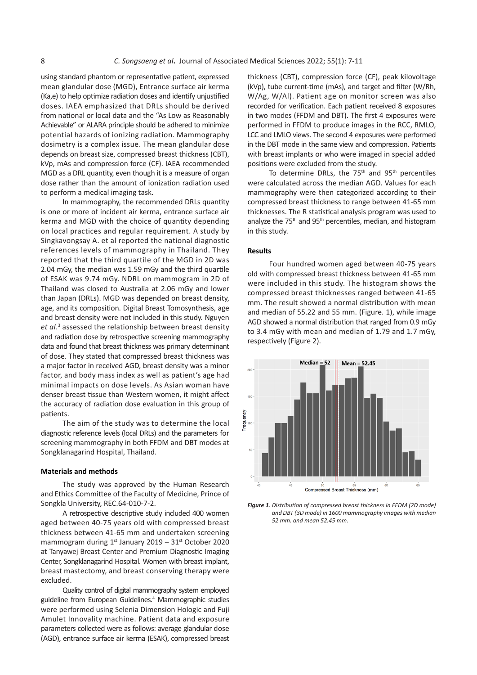using standard phantom or representative patient, expressed mean glandular dose (MGD), Entrance surface air kerma (Ka,e) to help optimize radiation doses and identify unjustified doses. IAEA emphasized that DRLs should be derived from national or local data and the "As Low as Reasonably Achievable" or ALARA principle should be adhered to minimize potential hazards of ionizing radiation. Mammography dosimetry is a complex issue. The mean glandular dose depends on breast size, compressed breast thickness (CBT), kVp, mAs and compression force (CF). IAEA recommended MGD as a DRL quantity, even though it is a measure of organ dose rather than the amount of ionization radiation used to perform a medical imaging task.

In mammography, the recommended DRLs quantity is one or more of incident air kerma, entrance surface air kerma and MGD with the choice of quantity depending on local practices and regular requirement. A study by in this study by the study by the study by the Study by the Study by the Study by the Study by the Study by the Study by the Study by the Study by the Study by the Stu Singkavongsay A. et al reported the national diagnostic references levels of mammography in Thailand. They reported that the third quartile of the MGD in 2D was **Results** 2.04 mGy, the median was 1.59 mGy and the third quartile of ESAK was 9.74 mGy. NDRL on mammogram in 2D of Thailand was closed to Australia at 2.06 mGy and lower than Japan (DRLs). MGD was depended on breast density, age, and its composition. Digital Breast Tomosynthesis, age and breast density were not included in this study. Nguyen *et al*. 3 assessed the relationship between breast density and radiation dose by retrospective screening mammography data and found that breast thickness was primary determinant of dose. They stated that compressed breast thickness was a major factor in received AGD, breast density was a minor factor, and body mass index as well as patient's age had minimal impacts on dose levels. As Asian woman have denser breast tissue than Western women, it might affect the accuracy of radiation dose evaluation in this group of patients.

The aim of the study was to determine the local diagnostic reference levels (local DRLs) and the parameters for screening mammography in both FFDM and DBT modes at Songklanagarind Hospital, Thailand.

#### **Materials and methods**

The study was approved by the Human Research and Ethics Committee of the Faculty of Medicine, Prince of Songkla University, REC.64-010-7-2.

A retrospective descriptive study included 400 women aged between 40-75 years old with compressed breast thickness between 41-65 mm and undertaken screening mammogram during  $1<sup>st</sup>$  January 2019 – 31 $<sup>st</sup>$  October 2020</sup> at Tanyawej Breast Center and Premium Diagnostic Imaging Center, Songklanagarind Hospital. Women with breast implant, breast mastectomy, and breast conserving therapy were excluded.

Quality control of digital mammography system employed guideline from European Guidelines.<sup>4</sup> Mammographic studies were performed using Selenia Dimension Hologic and Fuji Amulet Innovality machine. Patient data and exposure parameters collected were as follows: average glandular dose (AGD), entrance surface air kerma (ESAK), compressed breast `

thickness (CBT), compression force (CF), peak kilovoltage (kVp), tube current-time (mAs), and target and filter (W/Rh, W/Ag, W/Al). Patient age on monitor screen was also recorded for verification. Each patient received 8 exposures in two modes (FFDM and DBT). The first 4 exposures were performed in FFDM to produce images in the RCC, RMLO, LCC and LMLO views. The second 4 exposures were performed in the DBT mode in the same view and compression. Patients d breast thickness (CBT), with breast implants or who were imaged in special added CF). IAEA recommended positions were excluded from the study.

h it is a measure of organ To determine DRLs, the 75<sup>th</sup> and 95<sup>th</sup> percentiles with breast in special with breast in special with breast in special with breast in special with breast in special with the special with the s were calculated across the median AGD. Values for each mization radiation used were calculated across the incular AOD: values for each mammography were then categorized according to their ed DRLs quantity compressed breast thickness to range between 41-65 mm na, entrance surface air anthicknesses. The R statistical analysis program was used to of quantity depending analyze the 75<sup>th</sup> and 95<sup>th</sup> percentiles, median, and histogram in this study.

# **Results**

Four hundred women aged between 40-75 years In the this dual thermal did with compressed breast thickness between 41-65 mm<br>
In this study, the compressed breast thickness between 41-65 mm were included in this study. The histogram shows the at 2.06 mGy and lower were included in this study. The histogram shows the histogram shows the compressed breast thicknesses ranged between 41-65 nded on breast density, mm. The result showed a normal distribution with mean and mean and mean and median of 5 east forhosynthesis, age and median of 55.22 and 55 mm. (Figure. 1), while image ed in this study. Nguyer and a normal distribution that ranged from 0.9 mGy<br>between breast density to 3.4 mGy with mean and median of 1.79 and 1.7 mGy, respectively (Figure 2).



**Figure 1**. Distribution of compressed breast thickness in FFDM (2D mode) **Figure** 1. Distribution of compressed breast thickness in FFDM (2D mode) *and DBT (3D mode) in 1600 mammography images with median*  mammography images with median 52 mm. and mean 52.45 mm. *52 mm. and mean 52.45 mm.*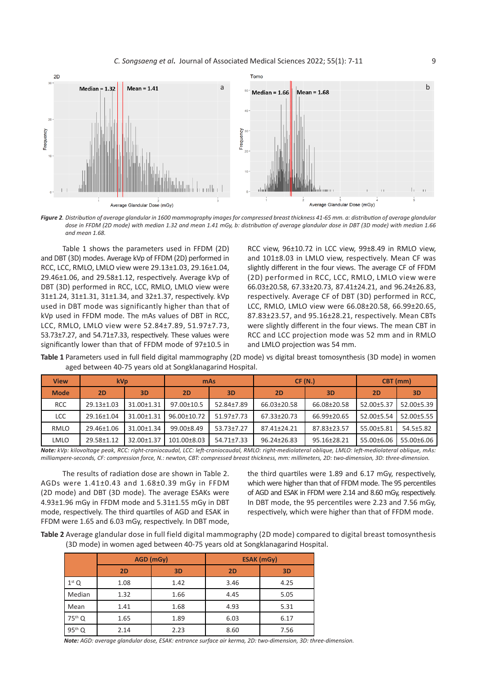

*Figure 2. Distribution of average glandular in 1600 mammography images for compressed breast thickness 41-65 mm. a: distribution of average glandular dose in FFDM (2D mode) with median 1.32 and mean 1.41 mGy, b: distribution of average glandular dose in DBT (3D mode) with median 1.66 and mean 1.68.*

Table 1 shows the parameters used in FFDM (2D) and DBT (3D) modes. Average kVp of FFDM (2D) performed in RCC, LCC, RMLO, LMLO view were 29.13±1.03, 29.16±1.04, 29.46±1.06, and 29.58±1.12, respectively. Average kVp of DBT (3D) performed in RCC, LCC, RMLO, LMLO view were 31±1.24, 31±1.31, 31±1.34, and 32±1.37, respectively. kVp used in DBT mode was significantly higher than that of kVp used in FFDM mode. The mAs values of DBT in RCC, LCC, RMLO, LMLO view were 52.84±7.89, 51.97±7.73, 53.73±7.27, and 54.71±7.33, respectively. These values were significantly lower than that of FFDM mode of 97±10.5 in

RCC view, 96±10.72 in LCC view, 99±8.49 in RMLO view, and 101±8.03 in LMLO view, respectively. Mean CF was slightly different in the four views. The average CF of FFDM (2D) performed in RCC, LCC, RMLO, LMLO view were 66.03±20.58, 67.33±20.73, 87.41±24.21, and 96.24±26.83, respectively. Average CF of DBT (3D) performed in RCC, LCC, RMLO, LMLO view were 66.08±20.58, 66.99±20.65, 87.83±23.57, and 95.16±28.21, respectively. Mean CBTs were slightly different in the four views. The mean CBT in RCC and LCC projection mode was 52 mm and in RMLO and LMLO projection was 54 mm.

**Table 1** Parameters used in full field digital mammography (2D mode) vs digital breast tomosynthesis (3D mode) in women aged between 40-75 years old at Songklanagarind Hospital.

| <b>View</b> | kV <sub>p</sub> |            | mAs         |            | CF(N.)      |             | CBT (mm)   |            |
|-------------|-----------------|------------|-------------|------------|-------------|-------------|------------|------------|
| <b>Mode</b> | 2D              | 3D         | 2D          | 3D         | <b>2D</b>   | 3D          | <b>2D</b>  | 3D         |
| <b>RCC</b>  | 29.13±1.03      | 31.00±1.31 | 97.00±10.5  | 52.84±7.89 | 66.03±20.58 | 66.08±20.58 | 52.00±5.37 | 52.00±5.39 |
| <b>LCC</b>  | 29.16±1.04      | 31.00±1.31 | 96.00±10.72 | 51.97±7.73 | 67.33±20.73 | 66.99±20.65 | 52.00±5.54 | 52.00±5.55 |
| RMLO        | 29.46±1.06      | 31.00±1.34 | 99.00±8.49  | 53.73±7.27 | 87.41+24.21 | 87.83±23.57 | 55.00±5.81 | 54.5±5.82  |
| LMLO        | 29.58±1.12      | 32.00±1.37 | 101.00±8.03 | 54.71±7.33 | 96.24±26.83 | 95.16±28.21 | 55.00±6.06 | 55.00±6.06 |

*Note: kVp: kilovoltage peak, RCC: right-craniocaudal, LCC: left-craniocaudal, RMLO: right-mediolateral oblique, LMLO: left-mediolateral oblique, mAs: milliampere-seconds, CF: compression force, N.: newton, CBT: compressed breast thickness, mm: millimeters, 2D: two-dimension, 3D: three-dimension.*

The results of radiation dose are shown in Table 2. AGDs were 1.41±0.43 and 1.68±0.39 mGy in FFDM (2D mode) and DBT (3D mode). The average ESAKs were 4.93±1.96 mGy in FFDM mode and 5.31±1.55 mGy in DBT mode, respectively. The third quartiles of AGD and ESAK in FFDM were 1.65 and 6.03 mGy, respectively. In DBT mode, the third quartiles were 1.89 and 6.17 mGy, respectively, which were higher than that of FFDM mode. The 95 percentiles of AGD and ESAK in FFDM were 2.14 and 8.60 mGy, respectively. In DBT mode, the 95 percentiles were 2.23 and 7.56 mGy, respectively, which were higher than that of FFDM mode.

**Table 2** Average glandular dose in full field digital mammography (2D mode) compared to digital breast tomosynthesis (3D mode) in women aged between 40-75 years old at Songklanagarind Hospital.

|                    |      | AGD (mGy) | <b>ESAK (mGy)</b> |      |  |
|--------------------|------|-----------|-------------------|------|--|
|                    | 2D   | 3D        | 2D                | 3D   |  |
| $1st$ Q            | 1.08 | 1.42      | 3.46              | 4.25 |  |
| Median             | 1.32 | 1.66      | 4.45              | 5.05 |  |
| Mean               | 1.41 | 1.68      | 4.93              | 5.31 |  |
| 75 <sup>th</sup> Q | 1.65 | 1.89      | 6.03              | 6.17 |  |
| 95 <sup>th</sup> Q | 2.14 | 2.23      | 8.60              | 7.56 |  |

*Note: AGD: average glandular dose, ESAK: entrance surface air kerma, 2D: two-dimension, 3D: three-dimension.*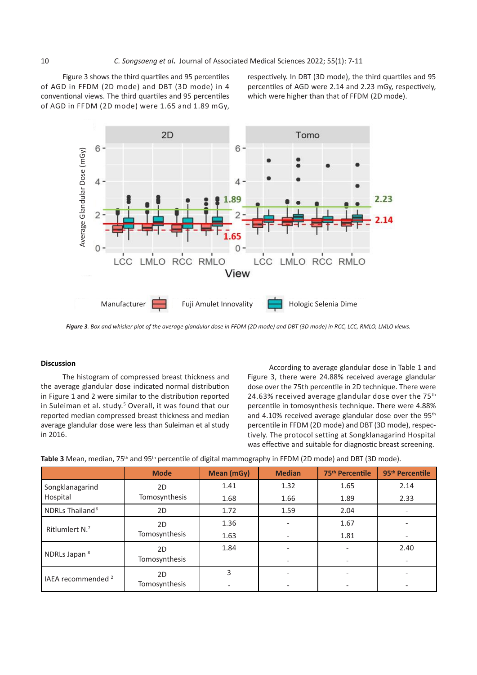Figure 3 shows the third quartiles and 95 percentiles of AGD in FFDM (2D mode) and DBT (3D mode) in 4 conventional views. The third quartiles and 95 percentiles which were higher of AGD in FFDM (2D mode) were 1.65 and 1.89 mGy,

Figure 3 shows the third quartiles and 95 percentiles and sespectively. In DBT (3D mode), the third quartiles and 95 AGD in FFDM (2D mode) and DBT (3D mode) in 4 percentiles of AGD were 2.14 and 2.23 mGy, respectively, which were higher than that of FFDM (2D mode).



**Figure 3**. Box and whisker plot of the average glandular dose in FFDM (2D mode) and DBT (3D mode) in RCC, LCC, RMLO, LMLO views.

# **Discussion**

The histogram of compressed breast thickness and the average glandular dose indicated normal distribution in Figure 1 and 2 were similar to the distribution reported in Suleiman et al. study.<sup>5</sup> Overall, it was found that our reported median compressed breast thickness and median average glandular dose were less than Suleiman et al study in 2016.

According to average glandular dose in Table 1 and Figure 3, there were 24.88% received average glandular dose over the 75th percentile in 2D technique. There were 24.63% received average glandular dose over the 75<sup>th</sup> percentile in tomosynthesis technique. There were 4.88% and 4.10% received average glandular dose over the 95<sup>th</sup> percentile in FFDM (2D mode) and DBT (3D mode), respectively. The protocol setting at Songklanagarind Hospital was effective and suitable for diagnostic breast screening.<br>

|                               | <b>Mode</b>   | Mean (mGy) | <b>Median</b> | 75 <sup>th</sup> Percentile | 95 <sup>th</sup> Percentile |
|-------------------------------|---------------|------------|---------------|-----------------------------|-----------------------------|
| Songklanagarind               | 2D            | 1.41       | 1.32          | 1.65                        | 2.14                        |
| Hospital                      | Tomosynthesis | 1.68       | 1.66          | 1.89                        | 2.33                        |
| NDRLs Thailand <sup>6</sup>   | 2D            | 1.72       | 1.59          | 2.04                        |                             |
| Ritlumlert N.7                | 2D            | 1.36       |               | 1.67                        |                             |
|                               | Tomosynthesis | 1.63       |               | 1.81                        |                             |
|                               | 2D            | 1.84       |               |                             | 2.40                        |
| NDRLs Japan <sup>8</sup>      | Tomosynthesis |            |               |                             |                             |
| IAEA recommended <sup>2</sup> | 2D            | 3          |               |                             |                             |
|                               | Tomosynthesis |            |               |                             |                             |

**Table 3** Mean, median, 75<sup>th</sup> and 95<sup>th</sup> percentile of digital mammography in FFDM (2D mode) and DBT (3D mode).